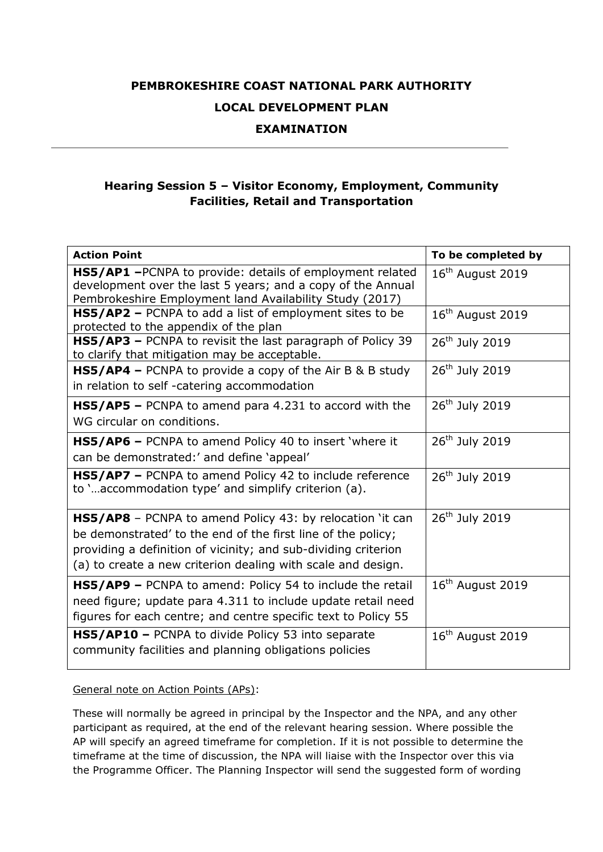## **PEMBROKESHIRE COAST NATIONAL PARK AUTHORITY LOCAL DEVELOPMENT PLAN**

## **EXAMINATION**

## **Hearing Session 5 – Visitor Economy, Employment, Community Facilities, Retail and Transportation**

| <b>Action Point</b>                                                                                                                                                                                                                                                | To be completed by           |
|--------------------------------------------------------------------------------------------------------------------------------------------------------------------------------------------------------------------------------------------------------------------|------------------------------|
| HS5/AP1 - PCNPA to provide: details of employment related<br>development over the last 5 years; and a copy of the Annual<br>Pembrokeshire Employment land Availability Study (2017)                                                                                | $16th$ August 2019           |
| HS5/AP2 - PCNPA to add a list of employment sites to be<br>protected to the appendix of the plan                                                                                                                                                                   | $16th$ August 2019           |
| HS5/AP3 - PCNPA to revisit the last paragraph of Policy 39<br>to clarify that mitigation may be acceptable.                                                                                                                                                        | 26 <sup>th</sup> July 2019   |
| <b>HS5/AP4 –</b> PCNPA to provide a copy of the Air B & B study<br>in relation to self-catering accommodation                                                                                                                                                      | 26 <sup>th</sup> July 2019   |
| $HSS/AP5$ – PCNPA to amend para 4.231 to accord with the<br>WG circular on conditions.                                                                                                                                                                             | 26 <sup>th</sup> July 2019   |
| <b>HS5/AP6</b> – PCNPA to amend Policy 40 to insert 'where it<br>can be demonstrated:' and define 'appeal'                                                                                                                                                         | 26 <sup>th</sup> July 2019   |
| HS5/AP7 - PCNPA to amend Policy 42 to include reference<br>to 'accommodation type' and simplify criterion (a).                                                                                                                                                     | 26 <sup>th</sup> July 2019   |
| <b>HS5/AP8</b> – PCNPA to amend Policy 43: by relocation 'it can<br>be demonstrated' to the end of the first line of the policy;<br>providing a definition of vicinity; and sub-dividing criterion<br>(a) to create a new criterion dealing with scale and design. | $26th$ July 2019             |
| <b>HS5/AP9</b> - PCNPA to amend: Policy 54 to include the retail<br>need figure; update para 4.311 to include update retail need<br>figures for each centre; and centre specific text to Policy 55                                                                 | $16th$ August 2019           |
| HS5/AP10 - PCNPA to divide Policy 53 into separate<br>community facilities and planning obligations policies                                                                                                                                                       | 16 <sup>th</sup> August 2019 |

General note on Action Points (APs):

These will normally be agreed in principal by the Inspector and the NPA, and any other participant as required, at the end of the relevant hearing session. Where possible the AP will specify an agreed timeframe for completion. If it is not possible to determine the timeframe at the time of discussion, the NPA will liaise with the Inspector over this via the Programme Officer. The Planning Inspector will send the suggested form of wording